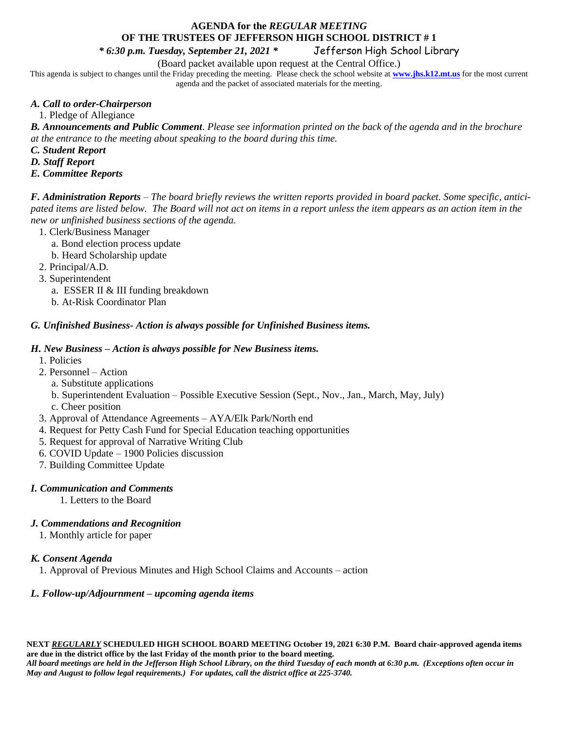# **AGENDA for the** *REGULAR MEETING* **OF THE TRUSTEES OF JEFFERSON HIGH SCHOOL DISTRICT # 1**

*\* 6:30 p.m. Tuesday, September 21, 2021 \** Jefferson High School Library

(Board packet available upon request at the Central Office.)

This agenda is subject to changes until the Friday preceding the meeting. Please check the school website at **[www.jhs.k12.mt.us](http://www.jhs.k12.mt.us/)** for the most current agenda and the packet of associated materials for the meeting.

# *A. Call to order-Chairperson*

1. Pledge of Allegiance

*B. Announcements and Public Comment*. *Please see information printed on the back of the agenda and in the brochure at the entrance to the meeting about speaking to the board during this time.* 

*C. Student Report*

*D. Staff Report* 

*E. Committee Reports*

*F. Administration Reports* – *The board briefly reviews the written reports provided in board packet. Some specific, anticipated items are listed below. The Board will not act on items in a report unless the item appears as an action item in the new or unfinished business sections of the agenda.*

- 1. Clerk/Business Manager
	- a. Bond election process update
	- b. Heard Scholarship update

2. Principal/A.D.

- 3. Superintendent
	- a. ESSER II & III funding breakdown
	- b. At-Risk Coordinator Plan

# *G. Unfinished Business- Action is always possible for Unfinished Business items.*

### *H. New Business – Action is always possible for New Business items.*

- 1. Policies
- 2. Personnel Action
	- a. Substitute applications
	- b. Superintendent Evaluation Possible Executive Session (Sept., Nov., Jan., March, May, July)
	- c. Cheer position
- 3. Approval of Attendance Agreements AYA/Elk Park/North end
- 4. Request for Petty Cash Fund for Special Education teaching opportunities
- 5. Request for approval of Narrative Writing Club
- 6. COVID Update 1900 Policies discussion
- 7. Building Committee Update

## *I. Communication and Comments*

1. Letters to the Board

# *J. Commendations and Recognition*

1. Monthly article for paper

### *K. Consent Agenda*

1. Approval of Previous Minutes and High School Claims and Accounts – action

### *L. Follow-up/Adjournment – upcoming agenda items*

**NEXT** *REGULARLY* **SCHEDULED HIGH SCHOOL BOARD MEETING October 19, 2021 6:30 P.M. Board chair-approved agenda items are due in the district office by the last Friday of the month prior to the board meeting.**  *All board meetings are held in the Jefferson High School Library, on the third Tuesday of each month at 6:30 p.m. (Exceptions often occur in May and August to follow legal requirements.) For updates, call the district office at 225-3740.*